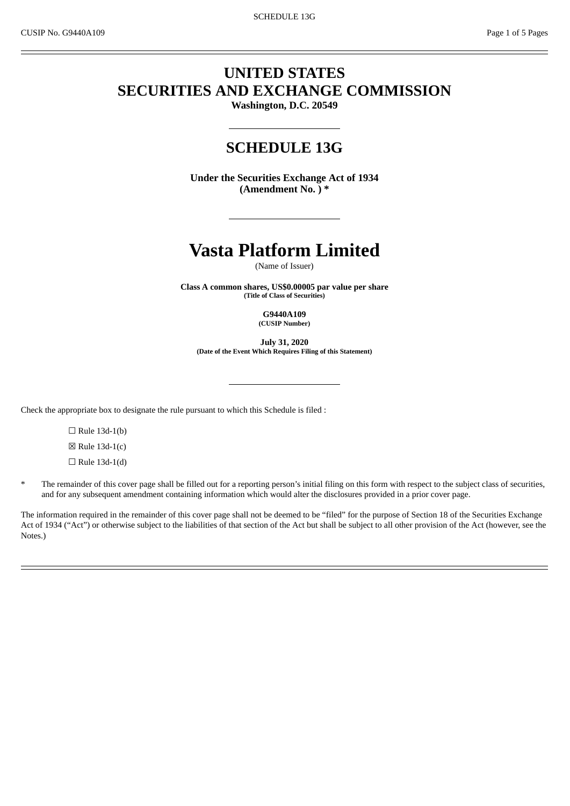## **UNITED STATES SECURITIES AND EXCHANGE COMMISSION**

**Washington, D.C. 20549**

### **SCHEDULE 13G**

**Under the Securities Exchange Act of 1934 (Amendment No. ) \***

# **Vasta Platform Limited**

(Name of Issuer)

**Class A common shares, US\$0.00005 par value per share (Title of Class of Securities)**

> **G9440A109 (CUSIP Number)**

**July 31, 2020 (Date of the Event Which Requires Filing of this Statement)**

Check the appropriate box to designate the rule pursuant to which this Schedule is filed :

 $\Box$  Rule 13d-1(b)

 $\boxtimes$  Rule 13d-1(c)

 $\Box$  Rule 13d-1(d)

The remainder of this cover page shall be filled out for a reporting person's initial filing on this form with respect to the subject class of securities, and for any subsequent amendment containing information which would alter the disclosures provided in a prior cover page.

The information required in the remainder of this cover page shall not be deemed to be "filed" for the purpose of Section 18 of the Securities Exchange Act of 1934 ("Act") or otherwise subject to the liabilities of that section of the Act but shall be subject to all other provision of the Act (however, see the Notes.)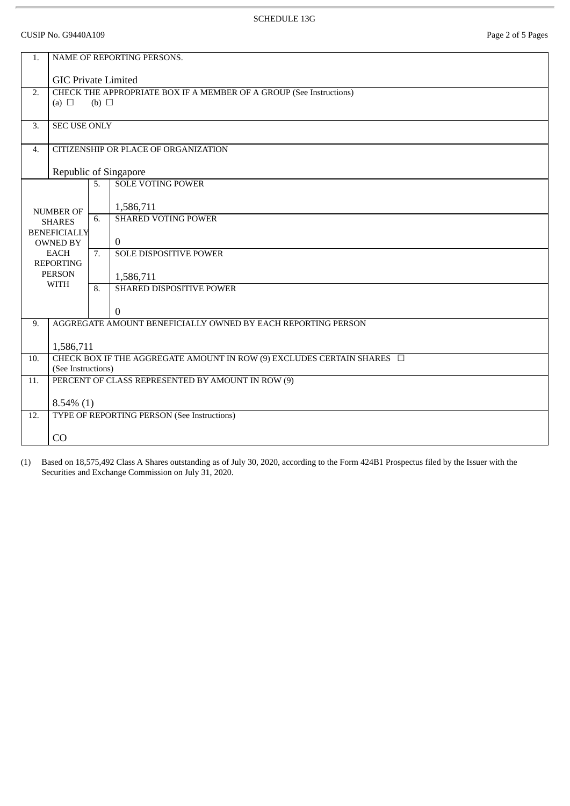#### SCHEDULE 13G

CUSIP No. G9440A109 Page 2 of 5 Pages

| 1.               |                                                                             |              | NAME OF REPORTING PERSONS.    |  |  |  |  |
|------------------|-----------------------------------------------------------------------------|--------------|-------------------------------|--|--|--|--|
|                  |                                                                             |              |                               |  |  |  |  |
|                  | <b>GIC Private Limited</b>                                                  |              |                               |  |  |  |  |
| 2.               | CHECK THE APPROPRIATE BOX IF A MEMBER OF A GROUP (See Instructions)         |              |                               |  |  |  |  |
|                  | (a) $\Box$                                                                  | (b) $\Box$   |                               |  |  |  |  |
| 3.               | <b>SEC USE ONLY</b>                                                         |              |                               |  |  |  |  |
|                  |                                                                             |              |                               |  |  |  |  |
| $\overline{4}$ . | CITIZENSHIP OR PLACE OF ORGANIZATION                                        |              |                               |  |  |  |  |
|                  | Republic of Singapore                                                       |              |                               |  |  |  |  |
|                  |                                                                             | 5.           | <b>SOLE VOTING POWER</b>      |  |  |  |  |
|                  | <b>NUMBER OF</b>                                                            |              | 1,586,711                     |  |  |  |  |
|                  | <b>SHARES</b>                                                               | 6.           | <b>SHARED VOTING POWER</b>    |  |  |  |  |
|                  | <b>BENEFICIALLY</b>                                                         |              |                               |  |  |  |  |
|                  | <b>OWNED BY</b>                                                             |              | $\mathbf{0}$                  |  |  |  |  |
|                  | <b>EACH</b><br><b>REPORTING</b>                                             | 7.           | <b>SOLE DISPOSITIVE POWER</b> |  |  |  |  |
|                  | <b>PERSON</b>                                                               |              | 1,586,711                     |  |  |  |  |
|                  | <b>WITH</b>                                                                 | 8.           | SHARED DISPOSITIVE POWER      |  |  |  |  |
|                  |                                                                             |              | $\Omega$                      |  |  |  |  |
| 9.               | AGGREGATE AMOUNT BENEFICIALLY OWNED BY EACH REPORTING PERSON                |              |                               |  |  |  |  |
|                  | 1,586,711                                                                   |              |                               |  |  |  |  |
| 10.              | CHECK BOX IF THE AGGREGATE AMOUNT IN ROW (9) EXCLUDES CERTAIN SHARES $\Box$ |              |                               |  |  |  |  |
|                  | (See Instructions)                                                          |              |                               |  |  |  |  |
| 11.              | PERCENT OF CLASS REPRESENTED BY AMOUNT IN ROW (9)                           |              |                               |  |  |  |  |
|                  |                                                                             | $8.54\%$ (1) |                               |  |  |  |  |
| 12.              | TYPE OF REPORTING PERSON (See Instructions)                                 |              |                               |  |  |  |  |
|                  | CO                                                                          |              |                               |  |  |  |  |
|                  |                                                                             |              |                               |  |  |  |  |

(1) Based on 18,575,492 Class A Shares outstanding as of July 30, 2020, according to the Form 424B1 Prospectus filed by the Issuer with the Securities and Exchange Commission on July 31, 2020.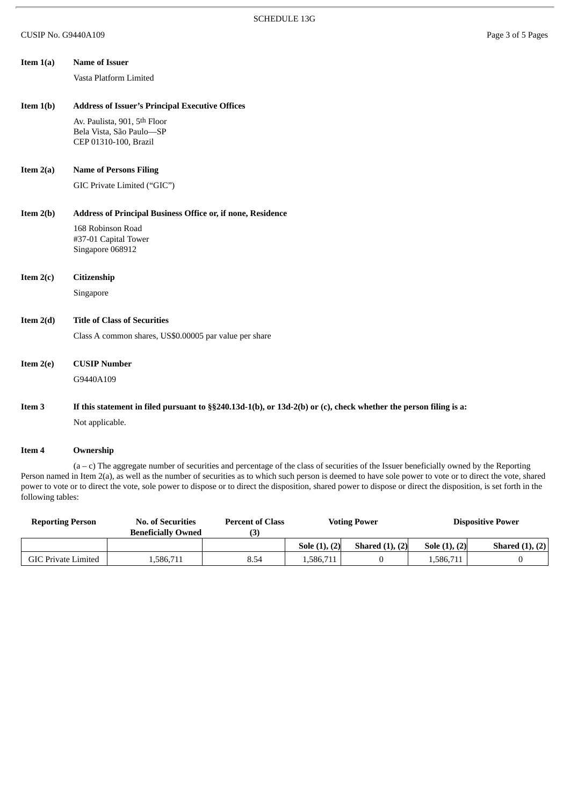| Item $1(a)$ | <b>Name of Issuer</b>                                                                                            |  |  |  |  |  |
|-------------|------------------------------------------------------------------------------------------------------------------|--|--|--|--|--|
|             | Vasta Platform Limited                                                                                           |  |  |  |  |  |
|             |                                                                                                                  |  |  |  |  |  |
| Item $1(b)$ | <b>Address of Issuer's Principal Executive Offices</b>                                                           |  |  |  |  |  |
|             | Av. Paulista, 901, 5th Floor                                                                                     |  |  |  |  |  |
|             | Bela Vista, São Paulo-SP<br>CEP 01310-100, Brazil                                                                |  |  |  |  |  |
|             |                                                                                                                  |  |  |  |  |  |
| Item $2(a)$ | <b>Name of Persons Filing</b>                                                                                    |  |  |  |  |  |
|             | GIC Private Limited ("GIC")                                                                                      |  |  |  |  |  |
|             |                                                                                                                  |  |  |  |  |  |
| Item $2(b)$ | Address of Principal Business Office or, if none, Residence                                                      |  |  |  |  |  |
|             | 168 Robinson Road                                                                                                |  |  |  |  |  |
|             | #37-01 Capital Tower<br>Singapore 068912                                                                         |  |  |  |  |  |
|             |                                                                                                                  |  |  |  |  |  |
| Item $2(c)$ | Citizenship                                                                                                      |  |  |  |  |  |
|             | Singapore                                                                                                        |  |  |  |  |  |
|             |                                                                                                                  |  |  |  |  |  |
| Item $2(d)$ | <b>Title of Class of Securities</b>                                                                              |  |  |  |  |  |
|             | Class A common shares, US\$0.00005 par value per share                                                           |  |  |  |  |  |
|             |                                                                                                                  |  |  |  |  |  |
| Item $2(e)$ | <b>CUSIP Number</b>                                                                                              |  |  |  |  |  |
|             | G9440A109                                                                                                        |  |  |  |  |  |
| Item 3      | If this statement in filed pursuant to §§240.13d-1(b), or 13d-2(b) or (c), check whether the person filing is a: |  |  |  |  |  |
|             | Not applicable.                                                                                                  |  |  |  |  |  |
|             |                                                                                                                  |  |  |  |  |  |
|             |                                                                                                                  |  |  |  |  |  |

#### **Item 4 Ownership**

(a – c) The aggregate number of securities and percentage of the class of securities of the Issuer beneficially owned by the Reporting Person named in Item 2(a), as well as the number of securities as to which such person is deemed to have sole power to vote or to direct the vote, shared power to vote or to direct the vote, sole power to dispose or to direct the disposition, shared power to dispose or direct the disposition, is set forth in the following tables:

| <b>Reporting Person</b> | <b>No. of Securities</b><br><b>Beneficially Owned</b> | <b>Percent of Class</b> |               | <b>Voting Power</b>  |                 | <b>Dispositive Power</b> |
|-------------------------|-------------------------------------------------------|-------------------------|---------------|----------------------|-----------------|--------------------------|
|                         |                                                       |                         | Sole (1), (2) | Shared $(1)$ , $(2)$ | Sole $(1), (2)$ | Shared $(1), (2)$        |
| GIC Private Limited     | .586.711                                              | 8.54                    | 1.586.711     |                      | 1.586.711       |                          |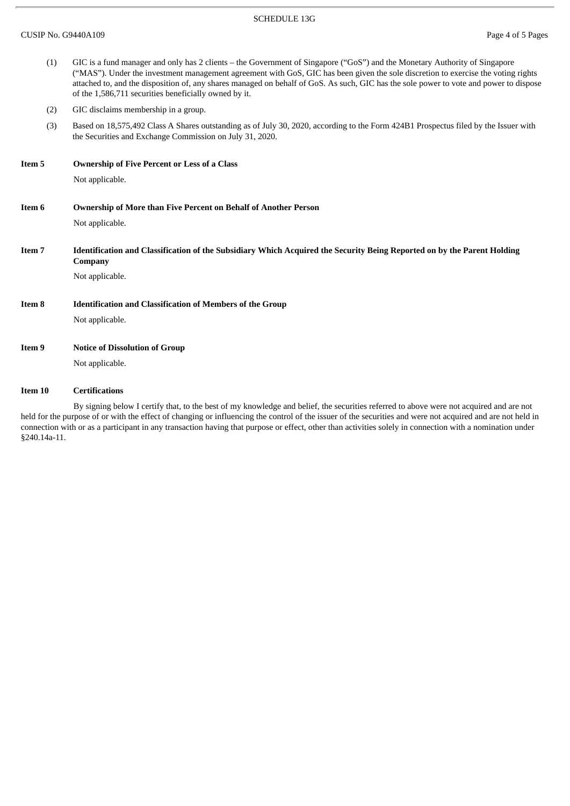#### SCHEDULE 13G

|                   | (1) | GIC is a fund manager and only has 2 clients – the Government of Singapore ("GoS") and the Monetary Authority of Singapore<br>("MAS"). Under the investment management agreement with GoS, GIC has been given the sole discretion to exercise the voting rights<br>attached to, and the disposition of, any shares managed on behalf of GoS. As such, GIC has the sole power to vote and power to dispose<br>of the 1,586,711 securities beneficially owned by it. |  |  |  |  |  |
|-------------------|-----|--------------------------------------------------------------------------------------------------------------------------------------------------------------------------------------------------------------------------------------------------------------------------------------------------------------------------------------------------------------------------------------------------------------------------------------------------------------------|--|--|--|--|--|
|                   | (2) | GIC disclaims membership in a group.                                                                                                                                                                                                                                                                                                                                                                                                                               |  |  |  |  |  |
|                   | (3) | Based on 18,575,492 Class A Shares outstanding as of July 30, 2020, according to the Form 424B1 Prospectus filed by the Issuer with<br>the Securities and Exchange Commission on July 31, 2020.                                                                                                                                                                                                                                                                    |  |  |  |  |  |
| Item 5            |     | <b>Ownership of Five Percent or Less of a Class</b>                                                                                                                                                                                                                                                                                                                                                                                                                |  |  |  |  |  |
|                   |     | Not applicable.                                                                                                                                                                                                                                                                                                                                                                                                                                                    |  |  |  |  |  |
| Item 6            |     | Ownership of More than Five Percent on Behalf of Another Person                                                                                                                                                                                                                                                                                                                                                                                                    |  |  |  |  |  |
|                   |     | Not applicable.                                                                                                                                                                                                                                                                                                                                                                                                                                                    |  |  |  |  |  |
| Item <sub>7</sub> |     | Identification and Classification of the Subsidiary Which Acquired the Security Being Reported on by the Parent Holding<br>Company                                                                                                                                                                                                                                                                                                                                 |  |  |  |  |  |
|                   |     | Not applicable.                                                                                                                                                                                                                                                                                                                                                                                                                                                    |  |  |  |  |  |
| Item 8            |     | <b>Identification and Classification of Members of the Group</b>                                                                                                                                                                                                                                                                                                                                                                                                   |  |  |  |  |  |
|                   |     | Not applicable.                                                                                                                                                                                                                                                                                                                                                                                                                                                    |  |  |  |  |  |
| Item 9            |     | <b>Notice of Dissolution of Group</b>                                                                                                                                                                                                                                                                                                                                                                                                                              |  |  |  |  |  |
|                   |     | Not applicable.                                                                                                                                                                                                                                                                                                                                                                                                                                                    |  |  |  |  |  |
|                   |     |                                                                                                                                                                                                                                                                                                                                                                                                                                                                    |  |  |  |  |  |

#### **Item 10 Certifications**

By signing below I certify that, to the best of my knowledge and belief, the securities referred to above were not acquired and are not held for the purpose of or with the effect of changing or influencing the control of the issuer of the securities and were not acquired and are not held in connection with or as a participant in any transaction having that purpose or effect, other than activities solely in connection with a nomination under §240.14a-11.